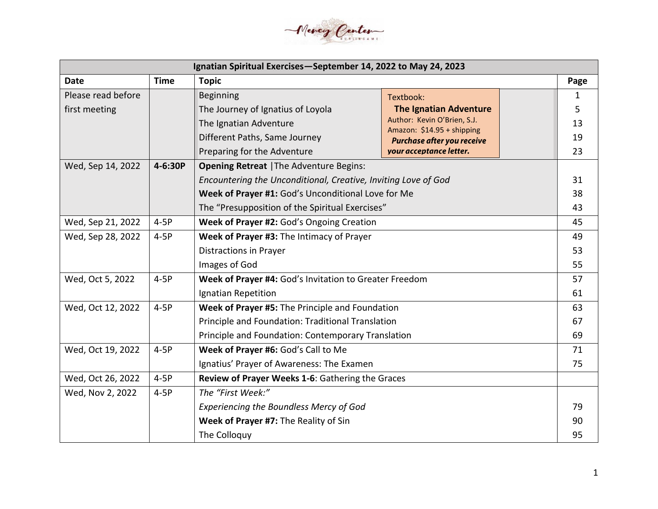

| Ignatian Spiritual Exercises-September 14, 2022 to May 24, 2023 |             |                                                                |                                                           |    |  |  |  |
|-----------------------------------------------------------------|-------------|----------------------------------------------------------------|-----------------------------------------------------------|----|--|--|--|
| <b>Date</b>                                                     | <b>Time</b> | <b>Topic</b>                                                   |                                                           |    |  |  |  |
| Please read before                                              |             | <b>Beginning</b>                                               | Textbook:                                                 | 1  |  |  |  |
| first meeting                                                   |             | The Journey of Ignatius of Loyola                              | <b>The Ignatian Adventure</b>                             | 5  |  |  |  |
|                                                                 |             | The Ignatian Adventure                                         | Author: Kevin O'Brien, S.J.<br>Amazon: \$14.95 + shipping | 13 |  |  |  |
|                                                                 |             | Different Paths, Same Journey                                  | Purchase after you receive                                | 19 |  |  |  |
|                                                                 |             | Preparing for the Adventure                                    | your acceptance letter.                                   | 23 |  |  |  |
| Wed, Sep 14, 2022                                               | 4-6:30P     | <b>Opening Retreat   The Adventure Begins:</b>                 |                                                           |    |  |  |  |
|                                                                 |             | Encountering the Unconditional, Creative, Inviting Love of God |                                                           | 31 |  |  |  |
|                                                                 |             | Week of Prayer #1: God's Unconditional Love for Me             |                                                           | 38 |  |  |  |
|                                                                 |             | The "Presupposition of the Spiritual Exercises"                |                                                           | 43 |  |  |  |
| Wed, Sep 21, 2022                                               | $4-5P$      | Week of Prayer #2: God's Ongoing Creation                      |                                                           | 45 |  |  |  |
| Wed, Sep 28, 2022<br>$4-5P$                                     |             | Week of Prayer #3: The Intimacy of Prayer                      |                                                           | 49 |  |  |  |
|                                                                 |             | <b>Distractions in Prayer</b>                                  |                                                           | 53 |  |  |  |
|                                                                 |             | Images of God                                                  |                                                           | 55 |  |  |  |
| Wed, Oct 5, 2022                                                | $4-5P$      | Week of Prayer #4: God's Invitation to Greater Freedom         |                                                           |    |  |  |  |
|                                                                 |             | Ignatian Repetition                                            |                                                           | 61 |  |  |  |
| Wed, Oct 12, 2022                                               | $4-5P$      | Week of Prayer #5: The Principle and Foundation                |                                                           | 63 |  |  |  |
|                                                                 |             | Principle and Foundation: Traditional Translation              |                                                           | 67 |  |  |  |
|                                                                 |             | Principle and Foundation: Contemporary Translation             |                                                           | 69 |  |  |  |
| Wed, Oct 19, 2022                                               | $4-5P$      | Week of Prayer #6: God's Call to Me                            |                                                           | 71 |  |  |  |
|                                                                 |             | Ignatius' Prayer of Awareness: The Examen                      |                                                           | 75 |  |  |  |
| Wed, Oct 26, 2022                                               | $4-5P$      | Review of Prayer Weeks 1-6: Gathering the Graces               |                                                           |    |  |  |  |
| Wed, Nov 2, 2022                                                | $4-5P$      | The "First Week:"                                              |                                                           |    |  |  |  |
|                                                                 |             | <b>Experiencing the Boundless Mercy of God</b>                 |                                                           | 79 |  |  |  |
|                                                                 |             | Week of Prayer #7: The Reality of Sin                          |                                                           | 90 |  |  |  |
|                                                                 |             | The Colloquy                                                   |                                                           | 95 |  |  |  |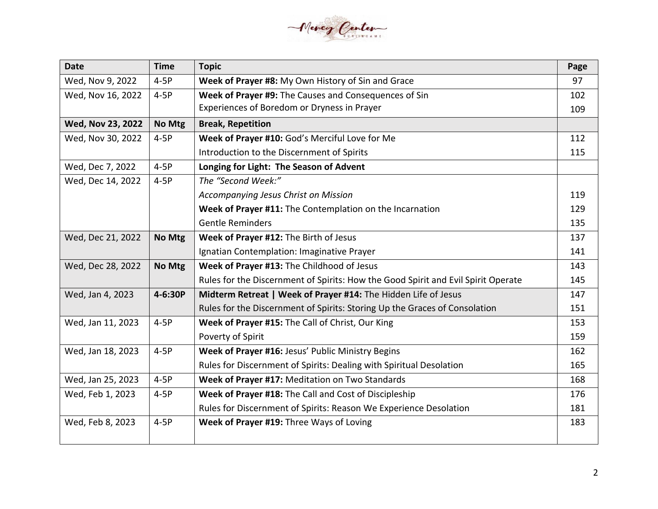

| <b>Date</b>       | <b>Time</b> | <b>Topic</b>                                                                      | Page |
|-------------------|-------------|-----------------------------------------------------------------------------------|------|
| Wed, Nov 9, 2022  | $4-5P$      | Week of Prayer #8: My Own History of Sin and Grace                                | 97   |
| Wed, Nov 16, 2022 | $4-5P$      | Week of Prayer #9: The Causes and Consequences of Sin                             | 102  |
|                   |             | Experiences of Boredom or Dryness in Prayer                                       | 109  |
| Wed, Nov 23, 2022 | No Mtg      | <b>Break, Repetition</b>                                                          |      |
| Wed, Nov 30, 2022 | $4-5P$      | Week of Prayer #10: God's Merciful Love for Me                                    | 112  |
|                   |             | Introduction to the Discernment of Spirits                                        | 115  |
| Wed, Dec 7, 2022  | $4-5P$      | Longing for Light: The Season of Advent                                           |      |
| Wed, Dec 14, 2022 | $4-5P$      | The "Second Week:"                                                                |      |
|                   |             | Accompanying Jesus Christ on Mission                                              | 119  |
|                   |             | Week of Prayer #11: The Contemplation on the Incarnation                          | 129  |
|                   |             | <b>Gentle Reminders</b>                                                           | 135  |
| Wed, Dec 21, 2022 | No Mtg      | Week of Prayer #12: The Birth of Jesus                                            | 137  |
|                   |             | Ignatian Contemplation: Imaginative Prayer                                        | 141  |
| Wed, Dec 28, 2022 | No Mtg      | Week of Prayer #13: The Childhood of Jesus                                        | 143  |
|                   |             | Rules for the Discernment of Spirits: How the Good Spirit and Evil Spirit Operate | 145  |
| Wed, Jan 4, 2023  | 4-6:30P     | Midterm Retreat   Week of Prayer #14: The Hidden Life of Jesus                    | 147  |
|                   |             | Rules for the Discernment of Spirits: Storing Up the Graces of Consolation        | 151  |
| Wed, Jan 11, 2023 | $4-5P$      | Week of Prayer #15: The Call of Christ, Our King                                  | 153  |
|                   |             | Poverty of Spirit                                                                 | 159  |
| Wed, Jan 18, 2023 | $4-5P$      | Week of Prayer #16: Jesus' Public Ministry Begins                                 | 162  |
|                   |             | Rules for Discernment of Spirits: Dealing with Spiritual Desolation               | 165  |
| Wed, Jan 25, 2023 | $4-5P$      | Week of Prayer #17: Meditation on Two Standards                                   | 168  |
| Wed, Feb 1, 2023  | $4-5P$      | Week of Prayer #18: The Call and Cost of Discipleship                             | 176  |
|                   |             | Rules for Discernment of Spirits: Reason We Experience Desolation                 | 181  |
| Wed, Feb 8, 2023  | $4-5P$      | Week of Prayer #19: Three Ways of Loving                                          | 183  |
|                   |             |                                                                                   |      |